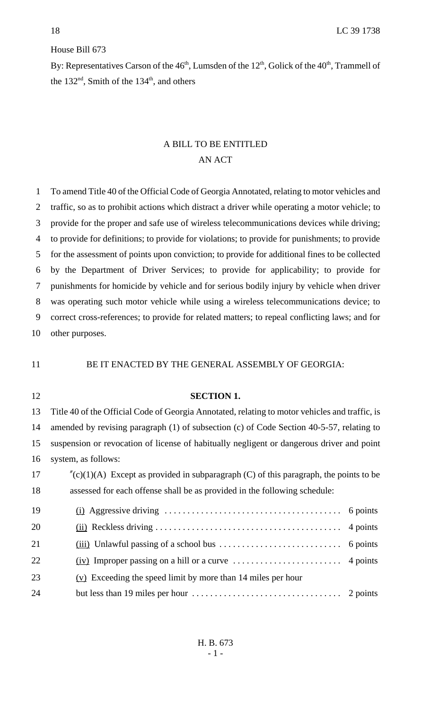# House Bill 673

By: Representatives Carson of the  $46<sup>th</sup>$ , Lumsden of the  $12<sup>th</sup>$ , Golick of the  $40<sup>th</sup>$ , Trammell of the  $132<sup>nd</sup>$ , Smith of the  $134<sup>th</sup>$ , and others

# A BILL TO BE ENTITLED AN ACT

 To amend Title 40 of the Official Code of Georgia Annotated, relating to motor vehicles and traffic, so as to prohibit actions which distract a driver while operating a motor vehicle; to provide for the proper and safe use of wireless telecommunications devices while driving; to provide for definitions; to provide for violations; to provide for punishments; to provide for the assessment of points upon conviction; to provide for additional fines to be collected by the Department of Driver Services; to provide for applicability; to provide for punishments for homicide by vehicle and for serious bodily injury by vehicle when driver was operating such motor vehicle while using a wireless telecommunications device; to correct cross-references; to provide for related matters; to repeal conflicting laws; and for other purposes.

### 11 BE IT ENACTED BY THE GENERAL ASSEMBLY OF GEORGIA:

| 12 | <b>SECTION 1.</b>                                                                               |  |
|----|-------------------------------------------------------------------------------------------------|--|
| 13 | Title 40 of the Official Code of Georgia Annotated, relating to motor vehicles and traffic, is  |  |
| 14 | amended by revising paragraph (1) of subsection (c) of Code Section 40-5-57, relating to        |  |
| 15 | suspension or revocation of license of habitually negligent or dangerous driver and point       |  |
| 16 | system, as follows:                                                                             |  |
| 17 | $\text{C}(c)(1)$ (A) Except as provided in subparagraph (C) of this paragraph, the points to be |  |
| 18 | assessed for each offense shall be as provided in the following schedule:                       |  |
| 19 |                                                                                                 |  |
| 20 |                                                                                                 |  |
| 21 | $(iii)$ Unlawful passing of a school bus $\dots \dots \dots \dots \dots \dots \dots$ 6 points   |  |
| 22 |                                                                                                 |  |
| 23 | (v) Exceeding the speed limit by more than 14 miles per hour                                    |  |
| 24 |                                                                                                 |  |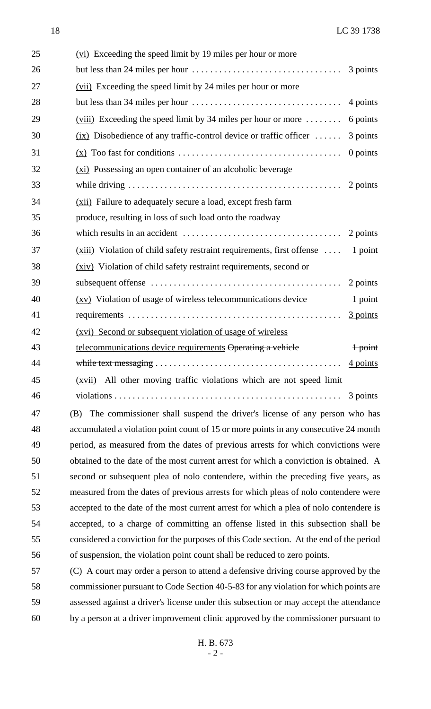| 25 | (vi) Exceeding the speed limit by 19 miles per hour or more                                   |                    |
|----|-----------------------------------------------------------------------------------------------|--------------------|
| 26 | but less than 24 miles per hour $\dots \dots \dots \dots \dots \dots \dots \dots \dots \dots$ | 3 points           |
| 27 | (vii) Exceeding the speed limit by 24 miles per hour or more                                  |                    |
| 28 |                                                                                               | 4 points           |
| 29 | $(viii)$ Exceeding the speed limit by 34 miles per hour or more $\dots\dots$                  | 6 points           |
| 30 | $(ix)$ Disobedience of any traffic-control device or traffic officer                          | 3 points           |
| 31 |                                                                                               | 0 points           |
| 32 | (xi) Possessing an open container of an alcoholic beverage                                    |                    |
| 33 |                                                                                               | 2 points           |
| 34 | (xii) Failure to adequately secure a load, except fresh farm                                  |                    |
| 35 | produce, resulting in loss of such load onto the roadway                                      |                    |
| 36 |                                                                                               | 2 points           |
| 37 | $(xiii)$ Violation of child safety restraint requirements, first offense $\dots$              | 1 point            |
| 38 | (xiv) Violation of child safety restraint requirements, second or                             |                    |
| 39 |                                                                                               | 2 points           |
| 40 | (xv) Violation of usage of wireless telecommunications device                                 | $1$ point          |
| 41 |                                                                                               | 3 points           |
| 42 | (xvi) Second or subsequent violation of usage of wireless                                     |                    |
| 43 | telecommunications device requirements Operating a vehicle                                    | <del>1 point</del> |
| 44 |                                                                                               | 4 points           |
| 45 | (xvii) All other moving traffic violations which are not speed limit                          |                    |
| 46 |                                                                                               |                    |
| 47 | The commissioner shall suspend the driver's license of any person who has<br>(B)              |                    |
| 48 | accumulated a violation point count of 15 or more points in any consecutive 24 month          |                    |

 period, as measured from the dates of previous arrests for which convictions were obtained to the date of the most current arrest for which a conviction is obtained. A second or subsequent plea of nolo contendere, within the preceding five years, as measured from the dates of previous arrests for which pleas of nolo contendere were accepted to the date of the most current arrest for which a plea of nolo contendere is accepted, to a charge of committing an offense listed in this subsection shall be considered a conviction for the purposes of this Code section. At the end of the period of suspension, the violation point count shall be reduced to zero points.

 (C) A court may order a person to attend a defensive driving course approved by the commissioner pursuant to Code Section 40-5-83 for any violation for which points are assessed against a driver's license under this subsection or may accept the attendance by a person at a driver improvement clinic approved by the commissioner pursuant to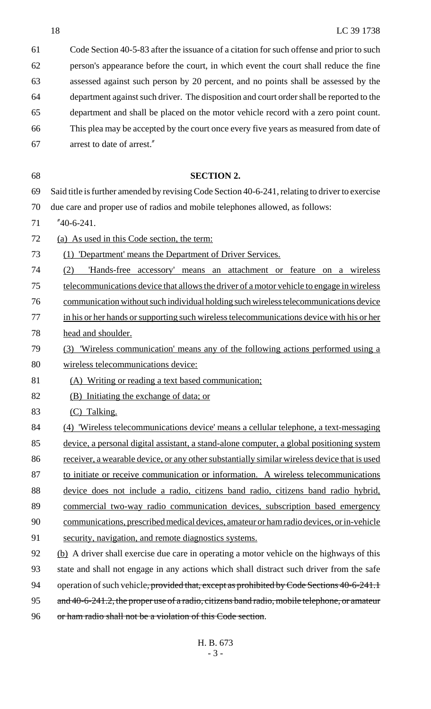| 61 | Code Section 40-5-83 after the issuance of a citation for such offense and prior to such        |
|----|-------------------------------------------------------------------------------------------------|
| 62 | person's appearance before the court, in which event the court shall reduce the fine            |
| 63 | assessed against such person by 20 percent, and no points shall be assessed by the              |
| 64 | department against such driver. The disposition and court order shall be reported to the        |
| 65 | department and shall be placed on the motor vehicle record with a zero point count.             |
| 66 | This plea may be accepted by the court once every five years as measured from date of           |
| 67 | arrest to date of arrest."                                                                      |
|    |                                                                                                 |
| 68 | <b>SECTION 2.</b>                                                                               |
| 69 | Said title is further amended by revising Code Section 40-6-241, relating to driver to exercise |
| 70 | due care and proper use of radios and mobile telephones allowed, as follows:                    |
| 71 | $"40-6-241.$                                                                                    |
| 72 | (a) As used in this Code section, the term:                                                     |
| 73 | <u>'Department' means the Department of Driver Services.</u><br>(1)                             |
| 74 | 'Hands-free accessory' means an attachment or feature on a wireless<br>(2)                      |
| 75 | telecommunications device that allows the driver of a motor vehicle to engage in wireless       |
| 76 | communication without such individual holding such wireless telecommunications device           |
| 77 | in his or her hands or supporting such wireless telecommunications device with his or her       |
| 78 | head and shoulder.                                                                              |
| 79 | Wireless communication' means any of the following actions performed using a<br>(3)             |
| 80 | wireless telecommunications device:                                                             |
| 81 | (A) Writing or reading a text based communication;                                              |
| 82 | (B) Initiating the exchange of data; or                                                         |
| 83 | (C) Talking.                                                                                    |
| 84 | (4) Wireless telecommunications device' means a cellular telephone, a text-messaging            |
| 85 | device, a personal digital assistant, a stand-alone computer, a global positioning system       |
| 86 | receiver, a wearable device, or any other substantially similar wireless device that is used    |
| 87 | to initiate or receive communication or information. A wireless telecommunications              |
| 88 | device does not include a radio, citizens band radio, citizens band radio hybrid,               |
| 89 | commercial two-way radio communication devices, subscription based emergency                    |
| 90 | communications, prescribed medical devices, amateur or ham radio devices, or in-vehicle         |
| 91 | security, navigation, and remote diagnostics systems.                                           |
| 92 | (b) A driver shall exercise due care in operating a motor vehicle on the highways of this       |
| 93 | state and shall not engage in any actions which shall distract such driver from the safe        |
| 94 | operation of such vehicle, provided that, except as prohibited by Code Sections 40-6-241.1      |
| 95 | and 40-6-241.2, the proper use of a radio, citizens band radio, mobile telephone, or amateur    |
| 96 | or ham radio shall not be a violation of this Code section.                                     |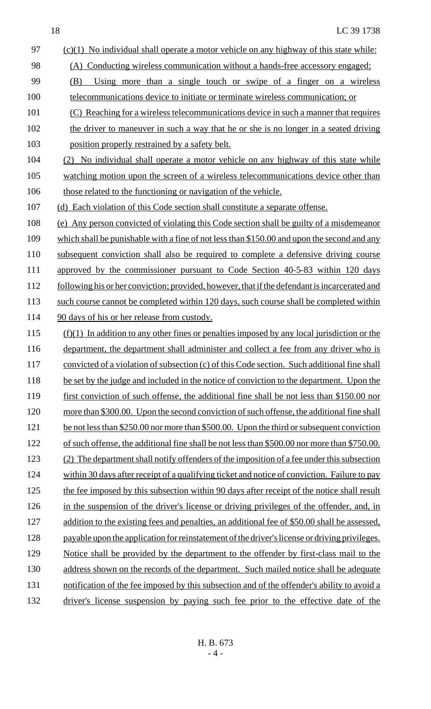18 LC 39 1738 97 (c)(1) No individual shall operate a motor vehicle on any highway of this state while: 98 (A) Conducting wireless communication without a hands-free accessory engaged; 99 (B) Using more than a single touch or swipe of a finger on a wireless 100 telecommunications device to initiate or terminate wireless communication; or 101 (C) Reaching for a wireless telecommunications device in such a manner that requires 102 the driver to maneuver in such a way that he or she is no longer in a seated driving 103 position properly restrained by a safety belt. 104 (2) No individual shall operate a motor vehicle on any highway of this state while 105 watching motion upon the screen of a wireless telecommunications device other than 106 those related to the functioning or navigation of the vehicle. 107 (d) Each violation of this Code section shall constitute a separate offense. 108 (e) Any person convicted of violating this Code section shall be guilty of a misdemeanor 109 which shall be punishable with a fine of not less than \$150.00 and upon the second and any 110 subsequent conviction shall also be required to complete a defensive driving course 111 approved by the commissioner pursuant to Code Section 40-5-83 within 120 days 112 following his or her conviction; provided, however, that if the defendant is incarcerated and 113 such course cannot be completed within 120 days, such course shall be completed within 114 90 days of his or her release from custody. 115 (f)(1) In addition to any other fines or penalties imposed by any local jurisdiction or the 116 department, the department shall administer and collect a fee from any driver who is 117 convicted of a violation of subsection (c) of this Code section. Such additional fine shall 118 be set by the judge and included in the notice of conviction to the department. Upon the 119 first conviction of such offense, the additional fine shall be not less than \$150.00 nor 120 more than \$300.00. Upon the second conviction of such offense, the additional fine shall 121 be not less than \$250.00 nor more than \$500.00. Upon the third or subsequent conviction 122 of such offense, the additional fine shall be not less than \$500.00 nor more than \$750.00. 123 (2) The department shall notify offenders of the imposition of a fee under this subsection 124 within 30 days after receipt of a qualifying ticket and notice of conviction. Failure to pay 125 the fee imposed by this subsection within 90 days after receipt of the notice shall result 126 in the suspension of the driver's license or driving privileges of the offender, and, in 127 addition to the existing fees and penalties, an additional fee of \$50.00 shall be assessed, 128 payable upon the application for reinstatement of the driver's license or driving privileges. 129 Notice shall be provided by the department to the offender by first-class mail to the 130 address shown on the records of the department. Such mailed notice shall be adequate 131 notification of the fee imposed by this subsection and of the offender's ability to avoid a 132 driver's license suspension by paying such fee prior to the effective date of the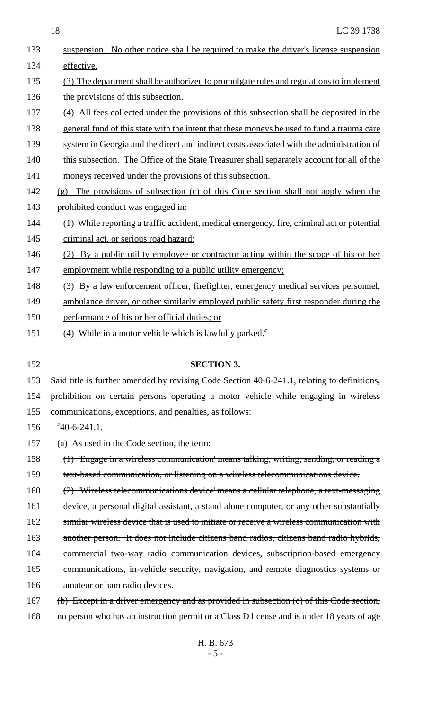| 133 | suspension. No other notice shall be required to make the driver's license suspension      |
|-----|--------------------------------------------------------------------------------------------|
| 134 | effective.                                                                                 |
| 135 | (3) The department shall be authorized to promulgate rules and regulations to implement    |
| 136 | the provisions of this subsection.                                                         |
| 137 | (4) All fees collected under the provisions of this subsection shall be deposited in the   |
| 138 | general fund of this state with the intent that these moneys be used to fund a trauma care |
| 139 | system in Georgia and the direct and indirect costs associated with the administration of  |
| 140 | this subsection. The Office of the State Treasurer shall separately account for all of the |
| 141 | moneys received under the provisions of this subsection.                                   |
| 142 | The provisions of subsection (c) of this Code section shall not apply when the<br>(g)      |
| 143 | prohibited conduct was engaged in:                                                         |
| 144 | While reporting a traffic accident, medical emergency, fire, criminal act or potential     |
| 145 | criminal act, or serious road hazard;                                                      |
| 146 | By a public utility employee or contractor acting within the scope of his or her<br>(2)    |
| 147 | employment while responding to a public utility emergency;                                 |
| 148 | (3) By a law enforcement officer, firefighter, emergency medical services personnel,       |
| 149 | ambulance driver, or other similarly employed public safety first responder during the     |
| 150 | performance of his or her official duties; or                                              |
| 151 | (4) While in a motor vehicle which is lawfully parked."                                    |

#### 152 **SECTION 3.**

153 Said title is further amended by revising Code Section 40-6-241.1, relating to definitions,

154 prohibition on certain persons operating a motor vehicle while engaging in wireless

155 communications, exceptions, and penalties, as follows:

156 "40-6-241.1.

157 (a) As used in the Code section, the term:

158 (1) 'Engage in a wireless communication' means talking, writing, sending, or reading a 159 text-based communication, or listening on a wireless telecommunications device.

160 (2) 'Wireless telecommunications device' means a cellular telephone, a text-messaging 161 device, a personal digital assistant, a stand alone computer, or any other substantially 162 similar wireless device that is used to initiate or receive a wireless communication with 163 another person. It does not include citizens band radios, citizens band radio hybrids, 164 commercial two-way radio communication devices, subscription-based emergency 165 communications, in-vehicle security, navigation, and remote diagnostics systems or 166 amateur or ham radio devices.

167 (b) Except in a driver emergency and as provided in subsection (c) of this Code section,

168 no person who has an instruction permit or a Class D license and is under 18 years of age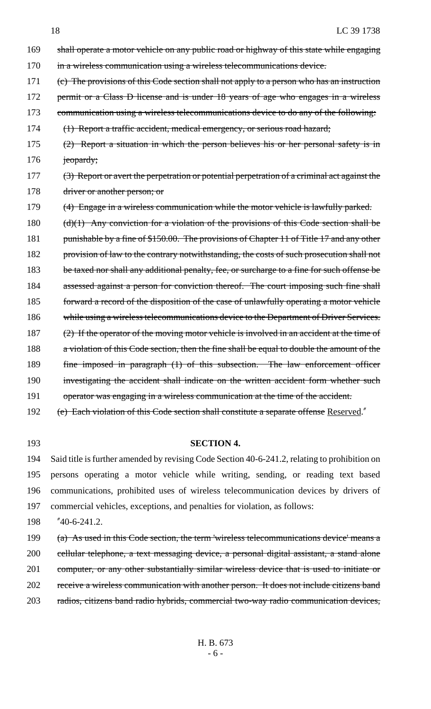169 shall operate a motor vehicle on any public road or highway of this state while engaging 170 in a wireless communication using a wireless telecommunications device. 171 (c) The provisions of this Code section shall not apply to a person who has an instruction 172 permit or a Class D license and is under 18 years of age who engages in a wireless 173 communication using a wireless telecommunications device to do any of the following: 174 (1) Report a traffic accident, medical emergency, or serious road hazard; 175 (2) Report a situation in which the person believes his or her personal safety is in 176 jeopardy; 177 (3) Report or avert the perpetration or potential perpetration of a criminal act against the 178 driver or another person; or 179 (4) Engage in a wireless communication while the motor vehicle is lawfully parked. 180  $(d)(1)$  Any conviction for a violation of the provisions of this Code section shall be 181 punishable by a fine of \$150.00. The provisions of Chapter 11 of Title 17 and any other 182 provision of law to the contrary notwithstanding, the costs of such prosecution shall not 183 be taxed nor shall any additional penalty, fee, or surcharge to a fine for such offense be 184 assessed against a person for conviction thereof. The court imposing such fine shall 185 forward a record of the disposition of the case of unlawfully operating a motor vehicle 186 while using a wireless telecommunications device to the Department of Driver Services. 187 (2) If the operator of the moving motor vehicle is involved in an accident at the time of 188 a violation of this Code section, then the fine shall be equal to double the amount of the 189 fine imposed in paragraph (1) of this subsection. The law enforcement officer 190 investigating the accident shall indicate on the written accident form whether such 191 operator was engaging in a wireless communication at the time of the accident.

192 (e) Each violation of this Code section shall constitute a separate offense Reserved."

### 193 **SECTION 4.**

 Said title is further amended by revising Code Section 40-6-241.2, relating to prohibition on persons operating a motor vehicle while writing, sending, or reading text based communications, prohibited uses of wireless telecommunication devices by drivers of commercial vehicles, exceptions, and penalties for violation, as follows:

198 "40-6-241.2.

 (a) As used in this Code section, the term 'wireless telecommunications device' means a cellular telephone, a text messaging device, a personal digital assistant, a stand alone 201 computer, or any other substantially similar wireless device that is used to initiate or receive a wireless communication with another person. It does not include citizens band radios, citizens band radio hybrids, commercial two-way radio communication devices,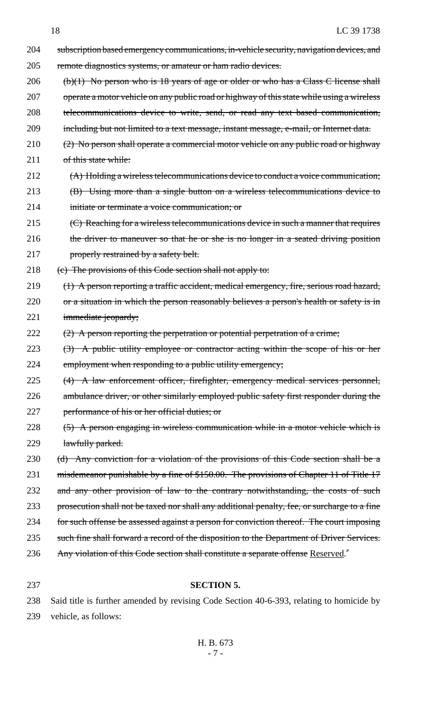- 204 subscription based emergency communications, in-vehicle security, navigation devices, and 205 remote diagnostics systems, or amateur or ham radio devices. 206 (b)(1) No person who is 18 years of age or older or who has a Class C license shall 207 operate a motor vehicle on any public road or highway of this state while using a wireless 208 telecommunications device to write, send, or read any text based communication, 209 including but not limited to a text message, instant message, e-mail, or Internet data. 210 (2) No person shall operate a commercial motor vehicle on any public road or highway 211 of this state while: 212 (A) Holding a wireless telecommunications device to conduct a voice communication; 213 (B) Using more than a single button on a wireless telecommunications device to 214 initiate or terminate a voice communication; or 215 (C) Reaching for a wireless telecommunications device in such a manner that requires 216 the driver to maneuver so that he or she is no longer in a seated driving position 217 **properly restrained by a safety belt.** 218 (c) The provisions of this Code section shall not apply to: 219 (1) A person reporting a traffic accident, medical emergency, fire, serious road hazard, 220 or a situation in which the person reasonably believes a person's health or safety is in 221 immediate jeopardy; 222  $(2)$  A person reporting the perpetration or potential perpetration of a crime; 223 (3) A public utility employee or contractor acting within the scope of his or her 224 employment when responding to a public utility emergency; 225 (4) A law enforcement officer, firefighter, emergency medical services personnel, 226 ambulance driver, or other similarly employed public safety first responder during the 227 performance of his or her official duties; or 228 (5) A person engaging in wireless communication while in a motor vehicle which is 229 lawfully parked. 230 (d) Any conviction for a violation of the provisions of this Code section shall be a 231 misdemeanor punishable by a fine of \$150.00. The provisions of Chapter 11 of Title 17 232 and any other provision of law to the contrary notwithstanding, the costs of such 233 prosecution shall not be taxed nor shall any additional penalty, fee, or surcharge to a fine 234 for such offense be assessed against a person for conviction thereof. The court imposing 235 such fine shall forward a record of the disposition to the Department of Driver Services. 236 Any violation of this Code section shall constitute a separate offense Reserved."
- 

# 237 **SECTION 5.**

238 Said title is further amended by revising Code Section 40-6-393, relating to homicide by 239 vehicle, as follows: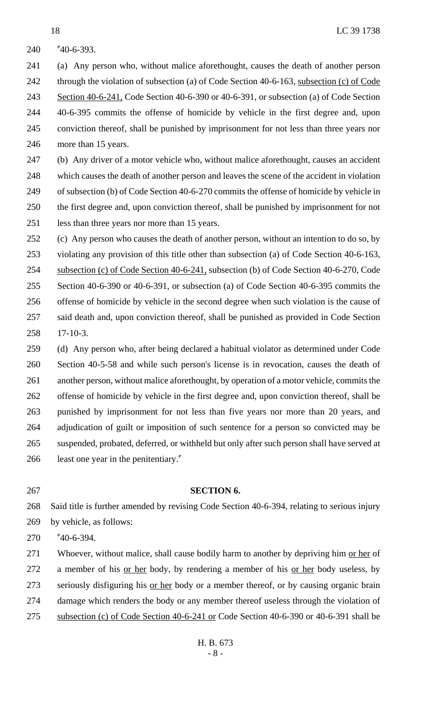"40-6-393.

 (a) Any person who, without malice aforethought, causes the death of another person 242 through the violation of subsection (a) of Code Section 40-6-163, subsection (c) of Code 243 Section 40-6-241, Code Section 40-6-390 or 40-6-391, or subsection (a) of Code Section 40-6-395 commits the offense of homicide by vehicle in the first degree and, upon conviction thereof, shall be punished by imprisonment for not less than three years nor more than 15 years.

 (b) Any driver of a motor vehicle who, without malice aforethought, causes an accident which causes the death of another person and leaves the scene of the accident in violation of subsection (b) of Code Section 40-6-270 commits the offense of homicide by vehicle in the first degree and, upon conviction thereof, shall be punished by imprisonment for not less than three years nor more than 15 years.

 (c) Any person who causes the death of another person, without an intention to do so, by violating any provision of this title other than subsection (a) of Code Section 40-6-163, subsection (c) of Code Section 40-6-241, subsection (b) of Code Section 40-6-270, Code Section 40-6-390 or 40-6-391, or subsection (a) of Code Section 40-6-395 commits the offense of homicide by vehicle in the second degree when such violation is the cause of said death and, upon conviction thereof, shall be punished as provided in Code Section 17-10-3.

 (d) Any person who, after being declared a habitual violator as determined under Code Section 40-5-58 and while such person's license is in revocation, causes the death of another person, without malice aforethought, by operation of a motor vehicle, commits the offense of homicide by vehicle in the first degree and, upon conviction thereof, shall be punished by imprisonment for not less than five years nor more than 20 years, and adjudication of guilt or imposition of such sentence for a person so convicted may be suspended, probated, deferred, or withheld but only after such person shall have served at least one year in the penitentiary."

# **SECTION 6.**

 Said title is further amended by revising Code Section 40-6-394, relating to serious injury by vehicle, as follows:

"40-6-394.

271 Whoever, without malice, shall cause bodily harm to another by depriving him or her of a member of his or her body, by rendering a member of his or her body useless, by 273 seriously disfiguring his <u>or her</u> body or a member thereof, or by causing organic brain damage which renders the body or any member thereof useless through the violation of 275 subsection (c) of Code Section 40-6-241 or Code Section 40-6-390 or 40-6-391 shall be